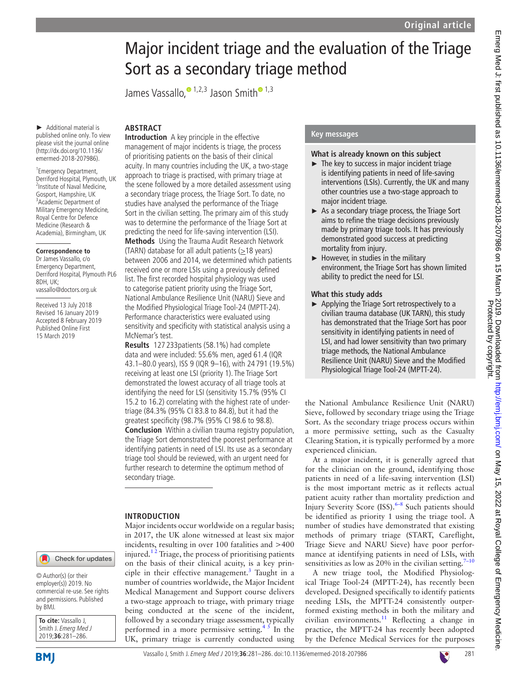# Major incident triage and the evaluation of the Triage Sort as a secondary triage method

James Vassallo[,](http://orcid.org/0000-0001-9783-165X)  $\bullet$  1,2,3 Jason Smith  $\bullet$  1,3

► Additional material is published online only. To view please visit the journal online (http://dx.doi.org/10.1136/ emermed-2018-207986).

1 Emergency Department, Derriford Hospital, Plymouth, UK <sup>2</sup>Institute of Naval Medicine, Gosport, Hampshire, UK <sup>3</sup> Academic Department of Military Emergency Medicine, Royal Centre for Defence Medicine (Research & Academia), Birmingham, UK

#### **Correspondence to**

Dr James Vassallo, c/o Emergency Department, Derriford Hospital, Plymouth PL6 8DH, UK; vassallo@doctors.org.uk

Received 13 July 2018 Revised 16 January 2019 Accepted 8 February 2019 Published Online First 15 March 2019

# **ARSTRACT**

**Introduction** A key principle in the effective management of major incidents is triage, the process of prioritising patients on the basis of their clinical acuity. In many countries including the UK, a two-stage approach to triage is practised, with primary triage at the scene followed by a more detailed assessment using a secondary triage process, the Triage Sort. To date, no studies have analysed the performance of the Triage Sort in the civilian setting. The primary aim of this study was to determine the performance of the Triage Sort at predicting the need for life-saving intervention (LSI). **Methods** Using the Trauma Audit Research Network (TARN) database for all adult patients ( $\geq$ 18 years) between 2006 and 2014, we determined which patients received one or more LSIs using a previously defined list. The first recorded hospital physiology was used to categorise patient priority using the Triage Sort, National Ambulance Resilience Unit (NARU) Sieve and the Modified Physiological Triage Tool-24 (MPTT-24). Performance characteristics were evaluated using sensitivity and specificity with statistical analysis using a McNemar's test.

**Results** 127 233patients (58.1%) had complete data and were included: 55.6% men, aged 61.4 (IQR 43.1–80.0 years), ISS 9 (IQR 9–16), with 24 791 (19.5%) receiving at least one LSI (priority 1). The Triage Sort demonstrated the lowest accuracy of all triage tools at identifying the need for LSI (sensitivity 15.7% (95% CI 15.2 to 16.2) correlating with the highest rate of undertriage (84.3% (95% CI 83.8 to 84.8), but it had the greatest specificity (98.7% (95% CI 98.6 to 98.8). **Conclusion** Within a civilian trauma registry population, the Triage Sort demonstrated the poorest performance at identifying patients in need of LSI. Its use as a secondary

triage tool should be reviewed, with an urgent need for further research to determine the optimum method of secondary triage.

## **Introduction**

Major incidents occur worldwide on a regular basis; in 2017, the UK alone witnessed at least six major incidents, resulting in over 100 fatalities and >400 injured. $12$  Triage, the process of prioritising patients on the basis of their clinical acuity, is a key prin-ciple in their effective management.<sup>[3](#page-4-1)</sup> Taught in a number of countries worldwide, the Major Incident Medical Management and Support course delivers a two-stage approach to triage, with primary triage being conducted at the scene of the incident, followed by a secondary triage assessment, typically performed in a more permissive setting.<sup>45</sup> In the UK, primary triage is currently conducted using

## **Key messages**

#### **What is already known on this subject**

- ► The key to success in major incident triage is identifying patients in need of life-saving interventions (LSIs). Currently, the UK and many other countries use a two-stage approach to major incident triage.
- ► As a secondary triage process, the Triage Sort aims to refine the triage decisions previously made by primary triage tools. It has previously demonstrated good success at predicting mortality from injury.
- $\blacktriangleright$  However, in studies in the military environment, the Triage Sort has shown limited ability to predict the need for LSI.

#### **What this study adds**

► Applying the Triage Sort retrospectively to a civilian trauma database (UK TARN), this study has demonstrated that the Triage Sort has poor sensitivity in identifying patients in need of LSI, and had lower sensitivity than two primary triage methods, the National Ambulance Resilience Unit (NARU) Sieve and the Modified Physiological Triage Tool-24 (MPTT-24).

the National Ambulance Resilience Unit (NARU) Sieve, followed by secondary triage using the Triage Sort. As the secondary triage process occurs within a more permissive setting, such as the Casualty Clearing Station, it is typically performed by a more experienced clinician.

At a major incident, it is generally agreed that for the clinician on the ground, identifying those patients in need of a life-saving intervention (LSI) is the most important metric as it reflects actual patient acuity rather than mortality prediction and Injury Severity Score (ISS).<sup>6-8</sup> Such patients should be identified as priority 1 using the triage tool. A number of studies have demonstrated that existing methods of primary triage (START, Careflight, Triage Sieve and NARU Sieve) have poor performance at identifying patients in need of LSIs, with sensitivities as low as 20% in the civilian setting.<sup>7-10</sup>

A new triage tool, the Modified Physiological Triage Tool-24 (MPTT-24), has recently been developed. Designed specifically to identify patients needing LSIs, the MPTT-24 consistently outperformed existing methods in both the military and civilian environments.<sup>[11](#page-4-5)</sup> Reflecting a change in practice, the MPTT-24 has recently been adopted by the Defence Medical Services for the purposes

© Author(s) (or their employer(s)) 2019. No commercial re-use. See rights and permissions. Published by BMJ.

**To cite:** Vassallo J, Smith J. Emerg Med J 2019;**36**:281–286.



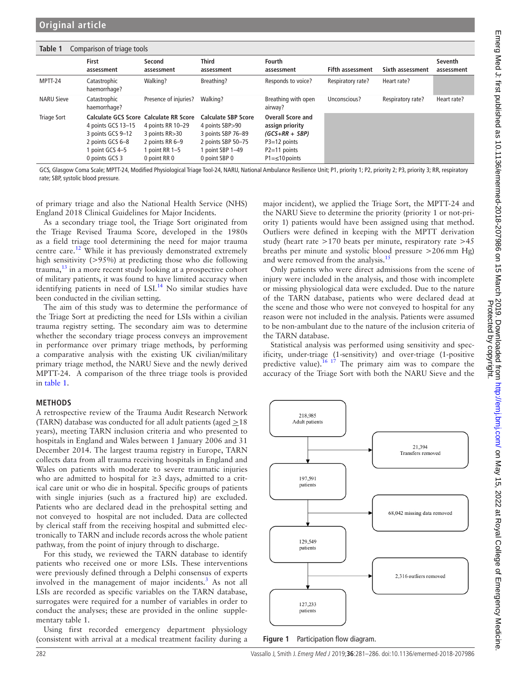<span id="page-1-0"></span>

| Comparison of triage tools<br>Table 1 |                                                                                                                         |                                                                                                                         |                                                                                                                                |                                                                                                                              |                         |                   |                       |
|---------------------------------------|-------------------------------------------------------------------------------------------------------------------------|-------------------------------------------------------------------------------------------------------------------------|--------------------------------------------------------------------------------------------------------------------------------|------------------------------------------------------------------------------------------------------------------------------|-------------------------|-------------------|-----------------------|
|                                       | First<br>assessment                                                                                                     | Second<br>assessment                                                                                                    | <b>Third</b><br>assessment                                                                                                     | <b>Fourth</b><br>assessment                                                                                                  | <b>Fifth assessment</b> | Sixth assessment  | Seventh<br>assessment |
| MPTT-24                               | Catastrophic<br>haemorrhage?                                                                                            | Walking?                                                                                                                | Breathing?                                                                                                                     | Responds to voice?                                                                                                           | Respiratory rate?       | Heart rate?       |                       |
| <b>NARU Sieve</b>                     | Catastrophic<br>haemorrhage?                                                                                            | Presence of injuries?                                                                                                   | Walking?                                                                                                                       | Breathing with open<br>airway?                                                                                               | Unconscious?            | Respiratory rate? | Heart rate?           |
| <b>Triage Sort</b>                    | Calculate GCS Score<br>4 points GCS 13-15<br>3 points GCS 9-12<br>2 points GCS 6-8<br>1 point GCS 4-5<br>0 points GCS 3 | <b>Calculate RR Score</b><br>4 points RR 10-29<br>3 points RR>30<br>2 points RR 6-9<br>1 point RR $1-5$<br>0 point RR 0 | <b>Calculate SBP Score</b><br>4 points SBP>90<br>3 points SBP 76-89<br>2 points SBP 50-75<br>l point SBP 1-49<br>0 point SBP 0 | <b>Overall Score and</b><br>assign priority<br>$(GCS+RR + SBP)$<br>$P3=12$ points<br>$P2=11$ points<br>$P1 = \leq 10$ points |                         |                   |                       |

GCS, Glasgow Coma Scale; MPTT-24, Modified Physiological Triage Tool-24, NARU, National Ambulance Resilience Unit; P1, priority 1; P2, priority 2; P3, priority 3; RR, respiratory rate; SBP, systolic blood pressure.

of primary triage and also the National Health Service (NHS) England 2018 Clinical Guidelines for Major Incidents.

As a secondary triage tool, the Triage Sort originated from the Triage Revised Trauma Score, developed in the 1980s as a field triage tool determining the need for major trauma centre care.<sup>[12](#page-4-6)</sup> While it has previously demonstrated extremely high sensitivity (>95%) at predicting those who die following trauma, $^{13}$  $^{13}$  $^{13}$  in a more recent study looking at a prospective cohort of military patients, it was found to have limited accuracy when identifying patients in need of  $LSI<sup>14</sup>$  No similar studies have been conducted in the civilian setting.

The aim of this study was to determine the performance of the Triage Sort at predicting the need for LSIs within a civilian trauma registry setting. The secondary aim was to determine whether the secondary triage process conveys an improvement in performance over primary triage methods, by performing a comparative analysis with the existing UK civilian/military primary triage method, the NARU Sieve and the newly derived MPTT-24. A comparison of the three triage tools is provided in [table](#page-1-0) 1.

## **Methods**

A retrospective review of the Trauma Audit Research Network (TARN) database was conducted for all adult patients (aged >18 years), meeting TARN inclusion criteria and who presented to hospitals in England and Wales between 1 January 2006 and 31 December 2014. The largest trauma registry in Europe, TARN collects data from all trauma receiving hospitals in England and Wales on patients with moderate to severe traumatic injuries who are admitted to hospital for  $\geq$ 3 days, admitted to a critical care unit or who die in hospital. Specific groups of patients with single injuries (such as a fractured hip) are excluded. Patients who are declared dead in the prehospital setting and not conveyed to hospital are not included. Data are collected by clerical staff from the receiving hospital and submitted electronically to TARN and include records across the whole patient pathway, from the point of injury through to discharge.

For this study, we reviewed the TARN database to identify patients who received one or more LSIs. These interventions were previously defined through a Delphi consensus of experts involved in the management of major incidents.<sup>[3](#page-4-1)</sup> As not all LSIs are recorded as specific variables on the TARN database, surrogates were required for a number of variables in order to conduct the analyses; these are provided in the online [supple](https://dx.doi.org/10.1136/emermed-2018-207986)[mentary table 1](https://dx.doi.org/10.1136/emermed-2018-207986).

Using first recorded emergency department physiology (consistent with arrival at a medical treatment facility during a major incident), we applied the Triage Sort, the MPTT-24 and the NARU Sieve to determine the priority (priority 1 or not-priority 1) patients would have been assigned using that method. Outliers were defined in keeping with the MPTT derivation study (heart rate  $>170$  beats per minute, respiratory rate  $>45$ breaths per minute and systolic blood pressure >206mm Hg) and were removed from the analysis.<sup>1</sup>

Only patients who were direct admissions from the scene of injury were included in the analysis, and those with incomplete or missing physiological data were excluded. Due to the nature of the TARN database, patients who were declared dead at the scene and those who were not conveyed to hospital for any reason were not included in the analysis. Patients were assumed to be non-ambulant due to the nature of the inclusion criteria of the TARN database.

Statistical analysis was performed using sensitivity and specificity, under-triage (1-sensitivity) and over-triage (1-positive predictive value).<sup>16 17</sup> The primary aim was to compare the accuracy of the Triage Sort with both the NARU Sieve and the



<span id="page-1-1"></span>**Figure 1** Participation flow diagram.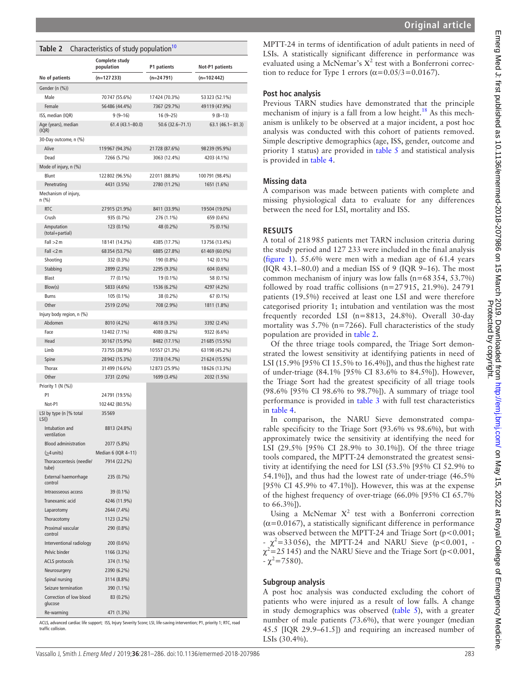<span id="page-2-0"></span>

| Characteristics of study population <sup>10</sup><br>Table 2 |                                                                                                                      |                  |                        |  |  |  |
|--------------------------------------------------------------|----------------------------------------------------------------------------------------------------------------------|------------------|------------------------|--|--|--|
|                                                              | Complete study<br>population                                                                                         |                  | <b>Not-P1 patients</b> |  |  |  |
| No of patients                                               | $(n=127233)$                                                                                                         | $(n=24791)$      | $(n=102442)$           |  |  |  |
| Gender (n (%))                                               |                                                                                                                      |                  |                        |  |  |  |
| Male                                                         | 70747 (55.6%)                                                                                                        | 17424 (70.3%)    | 53 323 (52.1%)         |  |  |  |
| Female                                                       | 56486 (44.4%)                                                                                                        | 7367 (29.7%)     | 49119 (47.9%)          |  |  |  |
| ISS, median (IQR)                                            | $9(9-16)$                                                                                                            | $16(9-25)$       | $9(8-13)$              |  |  |  |
| Age (years), median<br>(IQR)                                 | $61.4(43.1 - 80.0)$                                                                                                  | 50.6 (32.6-71.1) | $63.1 (46.1 - 81.3)$   |  |  |  |
| 30-Day outcome, n (%)                                        |                                                                                                                      |                  |                        |  |  |  |
| Alive                                                        | 119967 (94.3%)                                                                                                       | 21 728 (87.6%)   | 98239 (95.9%)          |  |  |  |
| Dead                                                         | 7266 (5.7%)                                                                                                          | 3063 (12.4%)     | 4203 (4.1%)            |  |  |  |
| Mode of injury, n (%)<br>Blunt                               | 122 802 (96.5%)                                                                                                      | 22011 (88.8%)    | 100791 (98.4%)         |  |  |  |
| Penetrating                                                  | 4431 (3.5%)                                                                                                          | 2780 (11.2%)     | 1651 (1.6%)            |  |  |  |
| Mechanism of injury,<br>n (%)                                |                                                                                                                      |                  |                        |  |  |  |
| <b>RTC</b>                                                   | 27915 (21.9%)                                                                                                        | 8411 (33.9%)     | 19504 (19.0%)          |  |  |  |
| Crush                                                        | 935 (0.7%)                                                                                                           | 276 (1.1%)       | 659 (0.6%)             |  |  |  |
| Amputation<br>(total+partial)                                | 123 (0.1%)                                                                                                           | 48 (0.2%)        | 75 (0.1%)              |  |  |  |
| Fall $>2 m$                                                  | 18141 (14.3%)                                                                                                        | 4385 (17.7%)     | 13756 (13.4%)          |  |  |  |
| Fall $<$ 2 m                                                 | 68354 (53.7%)                                                                                                        | 6885 (27.8%)     | 61 469 (60.0%)         |  |  |  |
| Shooting                                                     | 332 (0.3%)                                                                                                           | 190 (0.8%)       | 142 (0.1%)             |  |  |  |
| Stabbing                                                     | 2899 (2.3%)                                                                                                          | 2295 (9.3%)      | 604 (0.6%)             |  |  |  |
| Blast                                                        | 77 (0.1%)                                                                                                            | 19 (0.1%)        | 58 (0.1%)              |  |  |  |
| Blow(s)                                                      | 5833 (4.6%)                                                                                                          | 1536 (6.2%)      | 4297 (4.2%)            |  |  |  |
| Burns                                                        | 105 (0.1%)                                                                                                           | 38 (0.2%)        | 67 (0.1%)              |  |  |  |
| Other                                                        | 2519 (2.0%)                                                                                                          | 708 (2.9%)       | 1811 (1.8%)            |  |  |  |
| Injury body region, n (%)                                    |                                                                                                                      |                  |                        |  |  |  |
| Abdomen                                                      | 8010 (4.2%)                                                                                                          | 4618 (9.3%)      | 3392 (2.4%)            |  |  |  |
| Face                                                         | 13 402 (7.1%)                                                                                                        | 4080 (8.2%)      | 9322 (6.6%)            |  |  |  |
| Head                                                         | 30167 (15.9%)                                                                                                        | 8482 (17.1%)     | 21 685 (15.5%)         |  |  |  |
| Limb                                                         | 73755 (38.9%)                                                                                                        | 10557 (21.3%)    | 63 198 (45.2%)         |  |  |  |
| Spine                                                        | 28942 (15.3%)                                                                                                        | 7318 (14.7%)     | 21 624 (15.5%)         |  |  |  |
| Thorax<br>Other                                              | 31 499 (16.6%)                                                                                                       | 12873 (25.9%)    | 18626 (13.3%)          |  |  |  |
| Priority 1 (N (%))                                           | 3731 (2.0%)                                                                                                          | 1699 (3.4%)      | 2032 (1.5%)            |  |  |  |
| P1                                                           | 24791 (19.5%)                                                                                                        |                  |                        |  |  |  |
| Not-P1                                                       | 102 442 (80.5%)                                                                                                      |                  |                        |  |  |  |
| LSI by type (n [% total<br>$LSI$ )                           | 35569                                                                                                                |                  |                        |  |  |  |
| Intubation and<br>ventilation                                | 8813 (24.8%)                                                                                                         |                  |                        |  |  |  |
| <b>Blood administration</b>                                  | 2077 (5.8%)                                                                                                          |                  |                        |  |  |  |
| (≥4 units)                                                   | Median 6 (IQR 4-11)                                                                                                  |                  |                        |  |  |  |
| Thoracocentesis (needle/<br>tube)                            | 7914 (22.2%)                                                                                                         |                  |                        |  |  |  |
| External haemorrhage<br>control                              | 235 (0.7%)                                                                                                           |                  |                        |  |  |  |
| Intraosseous access                                          | 39 (0.1%)                                                                                                            |                  |                        |  |  |  |
| Tranexamic acid                                              | 4246 (11.9%)                                                                                                         |                  |                        |  |  |  |
| Laparotomy                                                   | 2644 (7.4%)                                                                                                          |                  |                        |  |  |  |
| Thoracotomy                                                  | 1123 (3.2%)                                                                                                          |                  |                        |  |  |  |
| Proximal vascular<br>control                                 | 290 (0.8%)                                                                                                           |                  |                        |  |  |  |
| Interventional radiology                                     | 200 (0.6%)                                                                                                           |                  |                        |  |  |  |
| Pelvic binder                                                | 1166 (3.3%)                                                                                                          |                  |                        |  |  |  |
| <b>ACLS</b> protocols                                        | 374 (1.1%)                                                                                                           |                  |                        |  |  |  |
| Neurosurgery                                                 | 2390 (6.2%)                                                                                                          |                  |                        |  |  |  |
| Spinal nursing                                               | 3114 (8.8%)                                                                                                          |                  |                        |  |  |  |
| Seizure termination                                          | 390 (1.1%)                                                                                                           |                  |                        |  |  |  |
| Correction of low blood<br>glucose<br>Re-warming             | 83 (0.2%)<br>471 (1.3%)                                                                                              |                  |                        |  |  |  |
|                                                              | ACLS advanced cardiac life support: ISS Injury Soverity Score: ISL life-saving intervention: P1 priority 1: RTC road |                  |                        |  |  |  |

ACLS, advanced cardiac life support; ISS, Injury Severity Score; LSI, life-saving intervention; P1, priority 1; RTC, road traffic collision.

MPTT-24 in terms of identification of adult patients in need of LSIs. A statistically significant difference in performance was evaluated using a McNemar's  $X^2$  test with a Bonferroni correction to reduce for Type 1 errors ( $\alpha$ =0.05/3=0.0167).

## **Post hoc analysis**

Previous TARN studies have demonstrated that the principle mechanism of injury is a fall from a low height.<sup>[18](#page-5-1)</sup> As this mechanism is unlikely to be observed at a major incident, a post hoc analysis was conducted with this cohort of patients removed. Simple descriptive demographics (age, ISS, gender, outcome and priority 1 status) are provided in [table](#page-4-11) 5 and statistical analysis is provided in [table](#page-3-0) 4.

## **Missing data**

A comparison was made between patients with complete and missing physiological data to evaluate for any differences between the need for LSI, mortality and ISS.

## **Results**

A total of 218985 patients met TARN inclusion criteria during the study period and 127 233 were included in the final analysis ([figure](#page-1-1) 1). 55.6% were men with a median age of 61.4 years (IQR 43.1–80.0) and a median ISS of 9 (IQR 9–16). The most common mechanism of injury was low falls (n=68354, 53.7%) followed by road traffic collisions (n=27915, 21.9%). 24791 patients (19.5%) received at least one LSI and were therefore categorised priority 1; intubation and ventilation was the most frequently recorded LSI (n=8813, 24.8%). Overall 30-day mortality was 5.7% (n=7266). Full characteristics of the study population are provided in [table](#page-2-0) 2.

Of the three triage tools compared, the Triage Sort demonstrated the lowest sensitivity at identifying patients in need of LSI (15.9% [95% CI 15.5% to 16.4%]), and thus the highest rate of under-triage (84.1% [95% CI 83.6% to 84.5%]). However, the Triage Sort had the greatest specificity of all triage tools (98.6% [95% CI 98.6% to 98.7%]). A summary of triage tool performance is provided in [table](#page-3-1) 3 with full test characteristics in [table](#page-3-0) 4.

In comparison, the NARU Sieve demonstrated comparable specificity to the Triage Sort (93.6% vs 98.6%), but with approximately twice the sensitivity at identifying the need for LSI (29.5% [95% CI 28.9% to 30.1%]). Of the three triage tools compared, the MPTT-24 demonstrated the greatest sensitivity at identifying the need for LSI (53.5% [95% CI 52.9% to 54.1%]), and thus had the lowest rate of under-triage (46.5% [95% CI 45.9% to 47.1%]). However, this was at the expense of the highest frequency of over-triage (66.0% [95% CI 65.7% to 66.3%]).

Using a McNemar  $X^2$  test with a Bonferroni correction  $(\alpha=0.0167)$ , a statistically significant difference in performance was observed between the MPTT-24 and Triage Sort ( $p < 0.001$ ;  $-\chi^2$ =33056), the MPTT-24 and NARU Sieve (p<0.001, - $\chi^2$ =25 145) and the NARU Sieve and the Triage Sort (p<0.001,  $-\chi^2$  = 7580).

## **Subgroup analysis**

A post hoc analysis was conducted excluding the cohort of patients who were injured as a result of low falls. A change in study demographics was observed ([table](#page-4-11) 5), with a greater number of male patients (73.6%), that were younger (median 45.5 [IQR 29.9–61.5]) and requiring an increased number of LSIs (30.4%).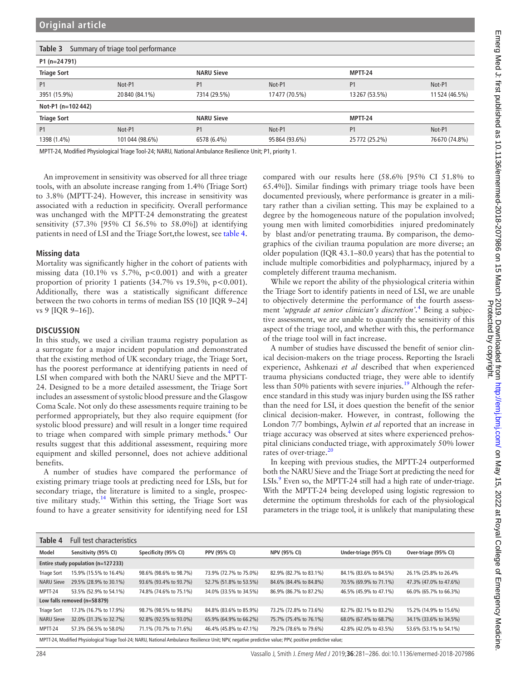<span id="page-3-1"></span>

| Summary of triage tool performance<br>Table 3 |                |                   |                |                |               |  |
|-----------------------------------------------|----------------|-------------------|----------------|----------------|---------------|--|
| $P1(n=24791)$                                 |                |                   |                |                |               |  |
| <b>Triage Sort</b>                            |                | <b>NARU Sieve</b> |                | <b>MPTT-24</b> |               |  |
| P1                                            | Not-P1         | <b>P1</b>         | Not-P1         | P1             | Not-P1        |  |
| 3951 (15.9%)                                  | 20840 (84.1%)  | 7314 (29.5%)      | 17477 (70.5%)  | 13267 (53.5%)  | 11524 (46.5%) |  |
| Not-P1 (n=102442)                             |                |                   |                |                |               |  |
| <b>Triage Sort</b>                            |                | <b>NARU Sieve</b> |                | <b>MPTT-24</b> |               |  |
| P <sub>1</sub>                                | Not-P1         | <b>P1</b>         | Not-P1         | <b>P1</b>      | Not-P1        |  |
| 1398 (1.4%)                                   | 101044 (98.6%) | 6578 (6.4%)       | 95 864 (93.6%) | 25772 (25.2%)  | 76670 (74.8%) |  |

MPTT-24, Modified Physiological Triage Tool-24; NARU, National Ambulance Resilience Unit; P1, priority 1.

An improvement in sensitivity was observed for all three triage tools, with an absolute increase ranging from 1.4% (Triage Sort) to 3.8% (MPTT-24). However, this increase in sensitivity was associated with a reduction in specificity. Overall performance was unchanged with the MPTT-24 demonstrating the greatest sensitivity (57.3% [95% CI 56.5% to 58.0%]) at identifying patients in need of LSI and the Triage Sort,the lowest, see [table](#page-3-0) 4.

#### **Missing data**

Mortality was significantly higher in the cohort of patients with missing data (10.1% vs  $5.7\%$ ,  $p < 0.001$ ) and with a greater proportion of priority 1 patients  $(34.7\% \text{ vs } 19.5\%, \text{ p} < 0.001).$ Additionally, there was a statistically significant difference between the two cohorts in terms of median ISS (10 [IQR 9–24] vs 9 [IQR 9–16]).

#### **Discussion**

In this study, we used a civilian trauma registry population as a surrogate for a major incident population and demonstrated that the existing method of UK secondary triage, the Triage Sort, has the poorest performance at identifying patients in need of LSI when compared with both the NARU Sieve and the MPTT-24. Designed to be a more detailed assessment, the Triage Sort includes an assessment of systolic blood pressure and the Glasgow Coma Scale. Not only do these assessments require training to be performed appropriately, but they also require equipment (for systolic blood pressure) and will result in a longer time required to triage when compared with simple primary methods.<sup>[4](#page-4-2)</sup> Our results suggest that this additional assessment, requiring more equipment and skilled personnel, does not achieve additional benefits.

A number of studies have compared the performance of existing primary triage tools at predicting need for LSIs, but for secondary triage, the literature is limited to a single, prospective military study.<sup>14</sup> Within this setting, the Triage Sort was found to have a greater sensitivity for identifying need for LSI

compared with our results here (58.6% [95% CI 51.8% to 65.4%]). Similar findings with primary triage tools have been documented previously, where performance is greater in a military rather than a civilian setting. This may be explained to a degree by the homogeneous nature of the population involved; young men with limited comorbidities injured predominately by blast and/or penetrating trauma. By comparison, the demographics of the civilian trauma population are more diverse; an older population (IQR 43.1–80.0 years) that has the potential to include multiple comorbidities and polypharmacy, injured by a completely different trauma mechanism.

While we report the ability of the physiological criteria within the Triage Sort to identify patients in need of LSI, we are unable to objectively determine the performance of the fourth assessment *'upgrade at senior clinician's discretion'.*[4](#page-4-2) Being a subjective assessment, we are unable to quantify the sensitivity of this aspect of the triage tool, and whether with this, the performance of the triage tool will in fact increase.

A number of studies have discussed the benefit of senior clinical decision-makers on the triage process. Reporting the Israeli experience, Ashkenazi *et al* described that when experienced trauma physicians conducted triage, they were able to identify less than 50% patients with severe injuries.<sup>[19](#page-5-2)</sup> Although the reference standard in this study was injury burden using the ISS rather than the need for LSI, it does question the benefit of the senior clinical decision-maker. However, in contrast, following the London 7/7 bombings, Aylwin *et al* reported that an increase in triage accuracy was observed at sites where experienced prehospital clinicians conducted triage, with approximately 50% lower rates of over-triage.<sup>[20](#page-5-3)</sup>

In keeping with previous studies, the MPTT-24 outperformed both the NARU Sieve and the Triage Sort at predicting the need for LSIs.<sup>[9](#page-4-12)</sup> Even so, the MPTT-24 still had a high rate of under-triage. With the MPTT-24 being developed using logistic regression to determine the optimum thresholds for each of the physiological parameters in the triage tool, it is unlikely that manipulating these

<span id="page-3-0"></span>

| Table 4                                                                                                                                              | Full test characteristics |                        |                        |                        |                        |                        |  |
|------------------------------------------------------------------------------------------------------------------------------------------------------|---------------------------|------------------------|------------------------|------------------------|------------------------|------------------------|--|
| Model                                                                                                                                                | Sensitivity (95% CI)      | Specificity (95% CI)   | <b>PPV (95% CI)</b>    | <b>NPV (95% CI)</b>    | Under-triage (95% CI)  | Over-triage (95% CI)   |  |
| Entire study population $(n=127233)$                                                                                                                 |                           |                        |                        |                        |                        |                        |  |
| <b>Triage Sort</b>                                                                                                                                   | 15.9% (15.5% to 16.4%)    | 98.6% (98.6% to 98.7%) | 73.9% (72.7% to 75.0%) | 82.9% (82.7% to 83.1%) | 84.1% (83.6% to 84.5%) | 26.1% (25.8% to 26.4%  |  |
| <b>NARU Sieve</b>                                                                                                                                    | 29.5% (28.9% to 30.1%)    | 93.6% (93.4% to 93.7%) | 52.7% (51.8% to 53.5%) | 84.6% (84.4% to 84.8%) | 70.5% (69.9% to 71.1%) | 47.3% (47.0% to 47.6%) |  |
| MPTT-24                                                                                                                                              | 53.5% (52.9% to 54.1%)    | 74.8% (74.6% to 75.1%) | 34.0% (33.5% to 34.5%) | 86.9% (86.7% to 87.2%) | 46.5% (45.9% to 47.1%) | 66.0% (65.7% to 66.3%) |  |
| Low falls removed ( $n=58879$ )                                                                                                                      |                           |                        |                        |                        |                        |                        |  |
| <b>Triage Sort</b>                                                                                                                                   | 17.3% (16.7% to 17.9%)    | 98.7% (98.5% to 98.8%) | 84.8% (83.6% to 85.9%) | 73.2% (72.8% to 73.6%) | 82.7% (82.1% to 83.2%) | 15.2% (14.9% to 15.6%) |  |
| <b>NARU Sieve</b>                                                                                                                                    | 32.0% (31.3% to 32.7%)    | 92.8% (92.5% to 93.0%) | 65.9% (64.9% to 66.2%) | 75.7% (75.4% to 76.1%) | 68.0% (67.4% to 68.7%) | 34.1% (33.6% to 34.5%) |  |
| MPTT-24                                                                                                                                              | 57.3% (56.5% to 58.0%)    | 71.1% (70.7% to 71.6%) | 46.4% (45.8% to 47.1%) | 79.2% (78.6% to 79.6%) | 42.8% (42.0% to 43.5%) | 53.6% (53.1% to 54.1%) |  |
| Matt be acid and the property of the Carl 24. MADH Mattenal Ambulance Recitionse Unit: MBV positive prodictive value: BBV positive prodictive value: |                           |                        |                        |                        |                        |                        |  |

MPTT-24, Modified Physiological Triage Tool-24; NARU, National Ambulance Resilience Unit; NPV, negative predictive value; PPV, positive predictive value;

284 Vassallo J, Smith J. Emerg Med J 2019;**36**:281–286. doi:10.1136/emermed-2018-207986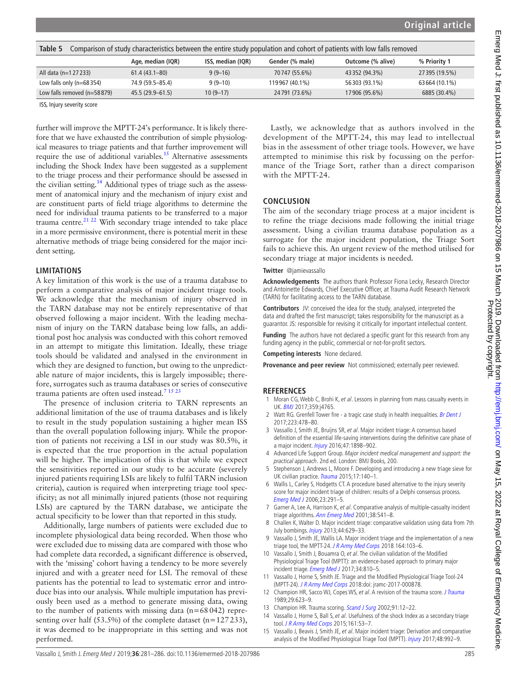<span id="page-4-11"></span>

| Comparison of study characteristics between the entire study population and cohort of patients with low falls removed<br>Table 5 |                     |                   |                 |                   |                |  |
|----------------------------------------------------------------------------------------------------------------------------------|---------------------|-------------------|-----------------|-------------------|----------------|--|
|                                                                                                                                  | Age, median (IQR)   | ISS, median (IQR) | Gender (% male) | Outcome (% alive) | % Priority 1   |  |
| All data (n=1 27 233)                                                                                                            | $61.4(43.1 - 80)$   | $9(9-16)$         | 70747 (55.6%)   | 43 352 (94.3%)    | 27395 (19.5%)  |  |
| Low falls only $(n=68354)$                                                                                                       | 74.9 (59.5-85.4)    | $9(9-10)$         | 119967 (40.1%)  | 56303 (93.1%)     | 63 664 (10.1%) |  |
| Low falls removed (n=58879)                                                                                                      | $45.5(29.9 - 61.5)$ | $10(9-17)$        | 24791 (73.6%)   | 17906 (95.6%)     | 6885 (30.4%)   |  |

ISS, Injury severity score

further will improve the MPTT-24's performance. It is likely therefore that we have exhausted the contribution of simple physiological measures to triage patients and that further improvement will require the use of additional variables.<sup>[15](#page-4-9)</sup> Alternative assessments including the Shock Index have been suggested as a supplement to the triage process and their performance should be assessed in the civilian setting.<sup>[14](#page-4-8)</sup> Additional types of triage such as the assessment of anatomical injury and the mechanism of injury exist and are constituent parts of field triage algorithms to determine the need for individual trauma patients to be transferred to a major trauma centre.<sup>21 22</sup> With secondary triage intended to take place in a more permissive environment, there is potential merit in these alternative methods of triage being considered for the major incident setting.

#### **Limitations**

A key limitation of this work is the use of a trauma database to perform a comparative analysis of major incident triage tools. We acknowledge that the mechanism of injury observed in the TARN database may not be entirely representative of that observed following a major incident. With the leading mechanism of injury on the TARN database being low falls, an additional post hoc analysis was conducted with this cohort removed in an attempt to mitigate this limitation. Ideally, these triage tools should be validated and analysed in the environment in which they are designed to function, but owing to the unpredictable nature of major incidents, this is largely impossible; therefore, surrogates such as trauma databases or series of consecutive trauma patients are often used instead.<sup>7 15 23</sup>

The presence of inclusion criteria to TARN represents an additional limitation of the use of trauma databases and is likely to result in the study population sustaining a higher mean ISS than the overall population following injury. While the proportion of patients not receiving a LSI in our study was 80.5%, it is expected that the true proportion in the actual population will be higher. The implication of this is that while we expect the sensitivities reported in our study to be accurate (severely injured patients requiring LSIs are likely to fulfil TARN inclusion criteria), caution is required when interpreting triage tool specificity; as not all minimally injured patients (those not requiring LSIs) are captured by the TARN database, we anticipate the actual specificity to be lower than that reported in this study.

Additionally, large numbers of patients were excluded due to incomplete physiological data being recorded. When those who were excluded due to missing data are compared with those who had complete data recorded, a significant difference is observed, with the 'missing' cohort having a tendency to be more severely injured and with a greater need for LSI. The removal of these patients has the potential to lead to systematic error and introduce bias into our analysis. While multiple imputation has previously been used as a method to generate missing data, owing to the number of patients with missing data ( $n=68042$ ) representing over half (53.5%) of the complete dataset ( $n=127233$ ), it was deemed to be inappropriate in this setting and was not performed.

Lastly, we acknowledge that as authors involved in the development of the MPTT-24, this may lead to intellectual bias in the assessment of other triage tools. However, we have attempted to minimise this risk by focussing on the performance of the Triage Sort, rather than a direct comparison with the MPTT-24.

## **Conclusion**

The aim of the secondary triage process at a major incident is to refine the triage decisions made following the initial triage assessment. Using a civilian trauma database population as a surrogate for the major incident population, the Triage Sort fails to achieve this. An urgent review of the method utilised for secondary triage at major incidents is needed.

#### **Twitter** @jamievassallo

**Acknowledgements** The authors thank Professor Fiona Lecky, Research Director and Antoinette Edwards, Chief Executive Officer, at Trauma Audit Research Network (TARN) for facilitating access to the TARN database.

**Contributors** JV: conceived the idea for the study, analysed, interpreted the data and drafted the first manuscript; takes responsibility for the manuscript as a guarantor. JS: responsible for revising it critically for important intellectual content.

**Funding** The authors have not declared a specific grant for this research from any funding agency in the public, commercial or not-for-profit sectors.

**Competing interests** None declared.

**Provenance and peer review** Not commissioned; externally peer reviewed.

#### **References**

- <span id="page-4-0"></span>Moran CG, Webb C, Brohi K, et al. Lessons in planning from mass casualty events in UK. **[BMJ](http://dx.doi.org/10.1136/bmj.j4765)** 2017;359:j4765.
- 2 Watt RG. Grenfell Tower fire a tragic case study in health inequalities. [Br Dent J](http://dx.doi.org/10.1038/sj.bdj.2017.785) 2017;223:478–80.
- <span id="page-4-1"></span>3 Vassallo J, Smith JE, Bruijns SR, et al. Major incident triage: A consensus based definition of the essential life-saving interventions during the definitive care phase of a major incident. *[Injury](http://dx.doi.org/10.1016/j.injury.2016.06.022)* 2016;47:1898-902.
- <span id="page-4-2"></span>4 Advanced Life Support Group. Major incident medical management and support: the practical approach. 2nd ed. London: BMJ Books, 200.
- 5 Stephenson J, Andrews L, Moore F. Developing and introducing a new triage sieve for UK civilian practice. [Trauma](http://dx.doi.org/10.1177/1460408614561173) 2015;17:140-1.
- <span id="page-4-3"></span>6 Wallis L, Carley S, Hodgetts CT. A procedure based alternative to the injury severity score for major incident triage of children: results of a Delphi consensus process. [Emerg Med J](http://dx.doi.org/10.1136/emj.2005.025312) 2006;23:291–5.
- <span id="page-4-4"></span>7 Garner A, Lee A, Harrison K, et al. Comparative analysis of multiple-casualty incident triage algorithms. [Ann Emerg Med](http://dx.doi.org/10.1067/mem.2001.119053) 2001;38:541-8.
- 8 Challen K, Walter D. Major incident triage: comparative validation using data from 7th July bombings. [Injury](http://dx.doi.org/10.1016/j.injury.2012.06.026) 2013;44:629–33.
- <span id="page-4-12"></span>9 Vassallo J, Smith JE, Wallis LA. Major incident triage and the implementation of a new triage tool, the MPTT-24. [J R Army Med Corps](http://dx.doi.org/10.1136/jramc-2017-000819) 2018 164:103-6.
- <span id="page-4-10"></span>10 Vassallo J, Smith J, Bouamra O, et al. The civilian validation of the Modified Physiological Triage Tool (MPTT): an evidence-based approach to primary major incident triage. [Emerg Med J](http://dx.doi.org/10.1136/emermed-2017-206647) 2017;34:810–5.
- <span id="page-4-5"></span>11 Vassallo J, Horne S, Smith JE. Triage and the Modified Physiological Triage Tool-24 (MPTT-24). [J R Army Med Corps](http://dx.doi.org/10.1136/jramc-2017-000878) 2018:doi: jramc-2017-000878.
- <span id="page-4-6"></span>12 Champion HR, Sacco WJ, Copes WS, et al. A revision of the trauma score. [J Trauma](http://dx.doi.org/10.1097/00005373-198905000-00017) 1989;29:623–9.
- <span id="page-4-7"></span>13 Champion HR. Trauma scoring. [Scand J Surg](http://dx.doi.org/10.1177/145749690209100104) 2002;91:12-22.
- <span id="page-4-8"></span>14 Vassallo J, Horne S, Ball S, et al. Usefulness of the shock Index as a secondary triage tool. [J R Army Med Corps](http://dx.doi.org/10.1136/jramc-2013-000178) 2015;161:53-7.
- <span id="page-4-9"></span>Vassallo J, Beavis J, Smith JE, et al. Major incident triage: Derivation and comparative analysis of the Modified Physiological Triage Tool (MPTT). [Injury](http://dx.doi.org/10.1016/j.injury.2017.01.038) 2017;48:992-9.